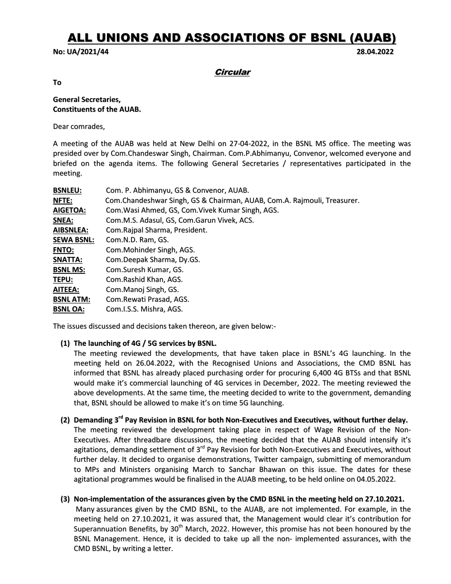# ALL UNIONS AND ASSOCIATIONS OF BSNL (AUAB)

#### No: UA/2021/44 28.04.2022

**Circular** 

To

# General Secretaries, Constituents of the AUAB.

Dear comrades,

A meeting of the AUAB was held at New Delhi on 27-04-2022, in the BSNL MS office. The meeting was presided over by Com.Chandeswar Singh, Chairman. Com.P.Abhimanyu, Convenor, welcomed everyone and briefed on the agenda items. The following General Secretaries / representatives participated in the meeting.

| <b>BSNLEU:</b>    | Com. P. Abhimanyu, GS & Convenor, AUAB.                                 |
|-------------------|-------------------------------------------------------------------------|
| <b>NFTE:</b>      | Com.Chandeshwar Singh, GS & Chairman, AUAB, Com.A. Rajmouli, Treasurer. |
| <b>AIGETOA:</b>   | Com. Wasi Ahmed, GS, Com. Vivek Kumar Singh, AGS.                       |
| SNEA:             | Com.M.S. Adasul, GS, Com.Garun Vivek, ACS.                              |
| <b>AIBSNLEA:</b>  | Com. Rajpal Sharma, President.                                          |
| <b>SEWA BSNL:</b> | Com.N.D. Ram, GS.                                                       |
| <b>FNTO:</b>      | Com.Mohinder Singh, AGS.                                                |
| SNATTA:           | Com.Deepak Sharma, Dy.GS.                                               |
| <b>BSNL MS:</b>   | Com.Suresh Kumar, GS.                                                   |
| TEPU:             | Com. Rashid Khan, AGS.                                                  |
| AITEEA:           | Com.Manoj Singh, GS.                                                    |
| <b>BSNL ATM:</b>  | Com. Rewati Prasad, AGS.                                                |
| <b>BSNL OA:</b>   | Com.I.S.S. Mishra, AGS.                                                 |

The issues discussed and decisions taken thereon, are given below:-

#### (1) The launching of 4G / 5G services by BSNL.

The meeting reviewed the developments, that have taken place in BSNL's 4G launching. In the meeting held on 26.04.2022, with the Recognised Unions and Associations, the CMD BSNL has informed that BSNL has already placed purchasing order for procuring 6,400 4G BTSs and that BSNL would make it's commercial launching of 4G services in December, 2022. The meeting reviewed the above developments. At the same time, the meeting decided to write to the government, demanding that, BSNL should be allowed to make it's on time 5G launching.

- (2) Demanding 3<sup>rd</sup> Pay Revision in BSNL for both Non-Executives and Executives, without further delay. The meeting reviewed the development taking place in respect of Wage Revision of the Non-Executives. After threadbare discussions, the meeting decided that the AUAB should intensify it's agitations, demanding settlement of 3<sup>rd</sup> Pay Revision for both Non-Executives and Executives, without further delay. It decided to organise demonstrations, Twitter campaign, submitting of memorandum to MPs and Ministers organising March to Sanchar Bhawan on this issue. The dates for these agitational programmes would be finalised in the AUAB meeting, to be held online on 04.05.2022.
- (3) Non-implementation of the assurances given by the CMD BSNL in the meeting held on 27.10.2021.

Many assurances given by the CMD BSNL, to the AUAB, are not implemented. For example, in the meeting held on 27.10.2021, it was assured that, the Management would clear it's contribution for Superannuation Benefits, by 30<sup>th</sup> March, 2022. However, this promise has not been honoured by the BSNL Management. Hence, it is decided to take up all the non- implemented assurances, with the CMD BSNL, by writing a letter.